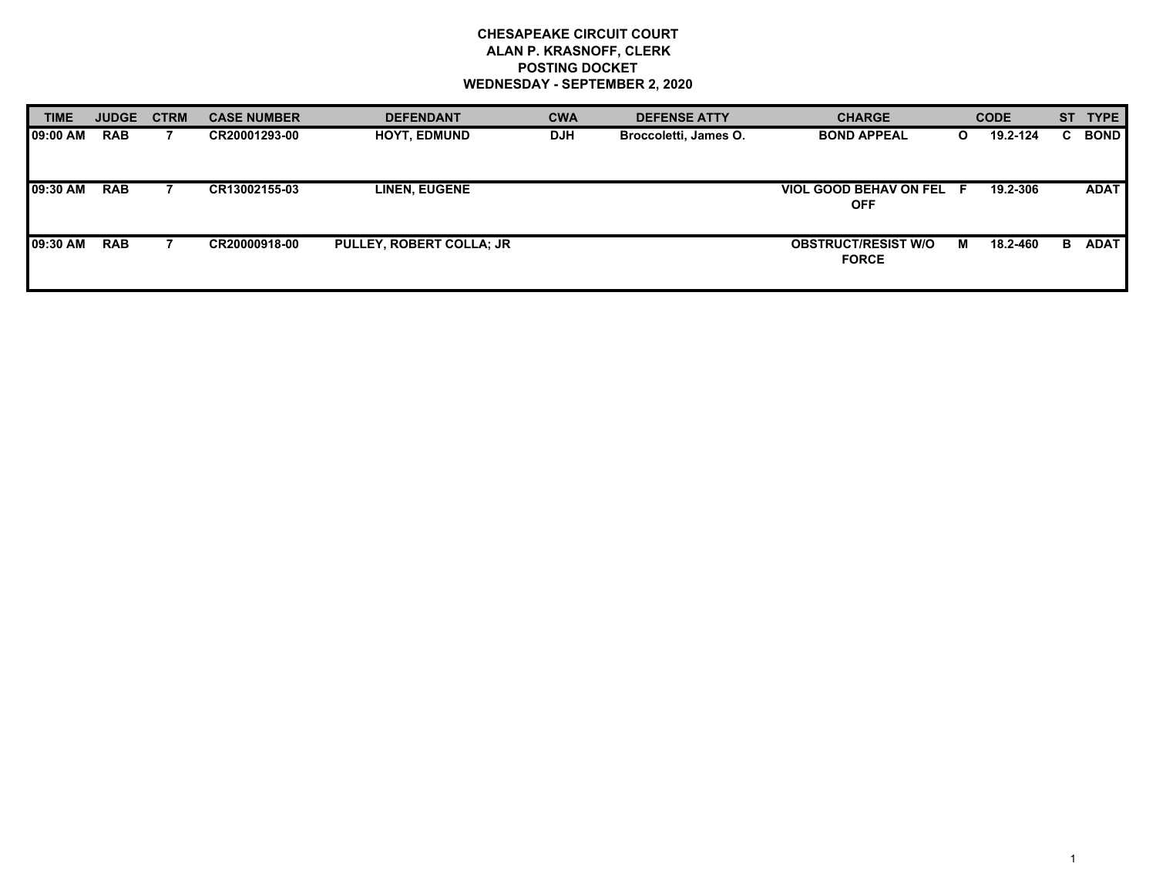## **CHESAPEAKE CIRCUIT COURT ALAN P. KRASNOFF, CLERK POSTING DOCKET WEDNESDAY - SEPTEMBER 2, 2020**

| <b>TIME</b> | <b>JUDGE</b> | <b>CTRM</b> | <b>CASE NUMBER</b> | <b>DEFENDANT</b>         | <b>CWA</b> | <b>DEFENSE ATTY</b>   | <b>CHARGE</b>                              |              | <b>CODE</b> | <b>ST</b> | <b>TYPE</b> |
|-------------|--------------|-------------|--------------------|--------------------------|------------|-----------------------|--------------------------------------------|--------------|-------------|-----------|-------------|
| 09:00 AM    | <b>RAB</b>   |             | CR20001293-00      | <b>HOYT, EDMUND</b>      | <b>DJH</b> | Broccoletti, James O. | <b>BOND APPEAL</b>                         | $\mathbf{O}$ | 19.2-124    | C.        | <b>BOND</b> |
| 09:30 AM    | <b>RAB</b>   |             | CR13002155-03      | <b>LINEN, EUGENE</b>     |            |                       | VIOL GOOD BEHAV ON FEL F<br><b>OFF</b>     |              | 19.2-306    |           | <b>ADAT</b> |
| 09:30 AM    | <b>RAB</b>   |             | CR20000918-00      | PULLEY, ROBERT COLLA; JR |            |                       | <b>OBSTRUCT/RESIST W/O</b><br><b>FORCE</b> | м            | 18.2-460    | B.        | <b>ADAT</b> |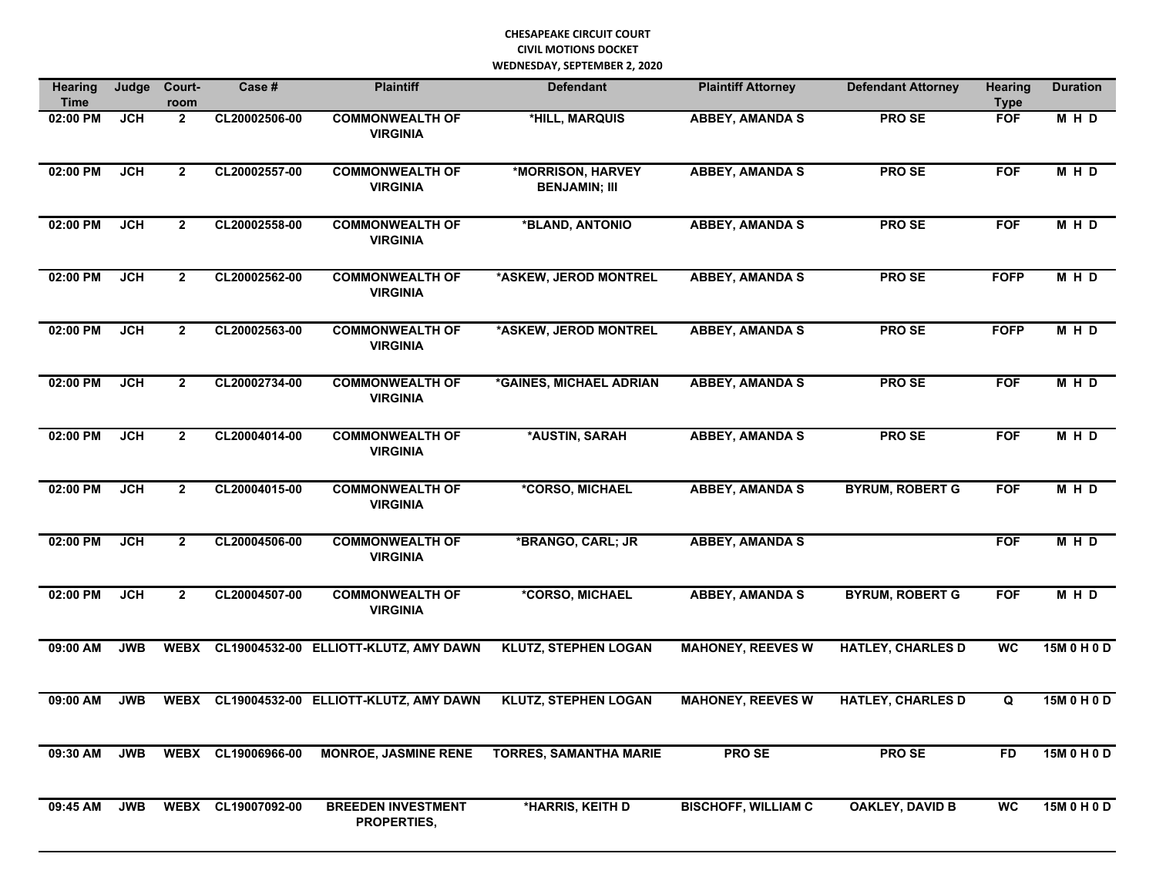## **CHESAPEAKE CIRCUIT COURT CIVIL MOTIONS DOCKET WEDNESDAY, SEPTEMBER 2, 2020**

| <b>Hearing</b><br><b>Time</b> | Judge      | Court-<br>room | Case #             | <b>Plaintiff</b>                          | <b>Defendant</b>                          | <b>Plaintiff Attorney</b>  | <b>Defendant Attorney</b> | <b>Hearing</b><br><b>Type</b> | <b>Duration</b> |
|-------------------------------|------------|----------------|--------------------|-------------------------------------------|-------------------------------------------|----------------------------|---------------------------|-------------------------------|-----------------|
| 02:00 PM                      | <b>JCH</b> | $\mathbf{2}$   | CL20002506-00      | <b>COMMONWEALTH OF</b><br><b>VIRGINIA</b> | *HILL, MARQUIS                            | <b>ABBEY, AMANDA S</b>     | <b>PROSE</b>              | <b>FOF</b>                    | M H D           |
| 02:00 PM                      | <b>JCH</b> | $\mathbf{2}$   | CL20002557-00      | <b>COMMONWEALTH OF</b><br><b>VIRGINIA</b> | *MORRISON, HARVEY<br><b>BENJAMIN; III</b> | <b>ABBEY, AMANDA S</b>     | <b>PROSE</b>              | <b>FOF</b>                    | M H D           |
| 02:00 PM                      | <b>JCH</b> | $\mathbf{2}$   | CL20002558-00      | <b>COMMONWEALTH OF</b><br><b>VIRGINIA</b> | *BLAND, ANTONIO                           | <b>ABBEY, AMANDA S</b>     | <b>PROSE</b>              | <b>FOF</b>                    | M H D           |
| 02:00 PM                      | <b>JCH</b> | $\overline{2}$ | CL20002562-00      | <b>COMMONWEALTH OF</b><br><b>VIRGINIA</b> | *ASKEW, JEROD MONTREL                     | <b>ABBEY, AMANDA S</b>     | <b>PROSE</b>              | <b>FOFP</b>                   | M H D           |
| 02:00 PM                      | <b>JCH</b> | $\overline{2}$ | CL20002563-00      | <b>COMMONWEALTH OF</b><br><b>VIRGINIA</b> | *ASKEW, JEROD MONTREL                     | <b>ABBEY, AMANDA S</b>     | <b>PROSE</b>              | <b>FOFP</b>                   | M H D           |
| 02:00 PM                      | JCH        | $\mathbf{2}$   | CL20002734-00      | <b>COMMONWEALTH OF</b><br><b>VIRGINIA</b> | *GAINES, MICHAEL ADRIAN                   | <b>ABBEY, AMANDA S</b>     | <b>PROSE</b>              | <b>FOF</b>                    | M H D           |
| 02:00 PM                      | JCH        | $\mathbf{2}$   | CL20004014-00      | <b>COMMONWEALTH OF</b><br><b>VIRGINIA</b> | *AUSTIN, SARAH                            | <b>ABBEY, AMANDA S</b>     | <b>PROSE</b>              | <b>FOF</b>                    | M H D           |
| 02:00 PM                      | JCH        | $\mathbf{2}$   | CL20004015-00      | <b>COMMONWEALTH OF</b><br><b>VIRGINIA</b> | *CORSO, MICHAEL                           | <b>ABBEY, AMANDA S</b>     | <b>BYRUM, ROBERT G</b>    | <b>FOF</b>                    | M H D           |
| 02:00 PM                      | <b>JCH</b> | $\overline{2}$ | CL20004506-00      | <b>COMMONWEALTH OF</b><br><b>VIRGINIA</b> | *BRANGO, CARL; JR                         | <b>ABBEY, AMANDA S</b>     |                           | <b>FOF</b>                    | M H D           |
| 02:00 PM                      | <b>JCH</b> | $\overline{2}$ | CL20004507-00      | <b>COMMONWEALTH OF</b><br><b>VIRGINIA</b> | *CORSO, MICHAEL                           | <b>ABBEY, AMANDA S</b>     | <b>BYRUM, ROBERT G</b>    | <b>FOF</b>                    | M H D           |
| 09:00 AM                      | <b>JWB</b> | <b>WEBX</b>    |                    | CL19004532-00 ELLIOTT-KLUTZ, AMY DAWN     | <b>KLUTZ, STEPHEN LOGAN</b>               | <b>MAHONEY, REEVES W</b>   | <b>HATLEY, CHARLES D</b>  | <b>WC</b>                     | 15M 0 H 0 D     |
| 09:00 AM                      | <b>JWB</b> | <b>WEBX</b>    |                    | CL19004532-00 ELLIOTT-KLUTZ, AMY DAWN     | <b>KLUTZ, STEPHEN LOGAN</b>               | <b>MAHONEY, REEVES W</b>   | <b>HATLEY, CHARLES D</b>  | Q                             | 15M 0 H 0 D     |
| 09:30 AM                      | <b>JWB</b> |                | WEBX CL19006966-00 | <b>MONROE, JASMINE RENE</b>               | <b>TORRES, SAMANTHA MARIE</b>             | <b>PROSE</b>               | PRO SE                    | <b>FD</b>                     | 15M 0 H 0 D     |
| 09:45 AM                      | <b>JWB</b> |                | WEBX CL19007092-00 | <b>BREEDEN INVESTMENT</b><br>PROPERTIES,  | *HARRIS, KEITH D                          | <b>BISCHOFF, WILLIAM C</b> | <b>OAKLEY, DAVID B</b>    | <b>WC</b>                     | 15M 0 H 0 D     |